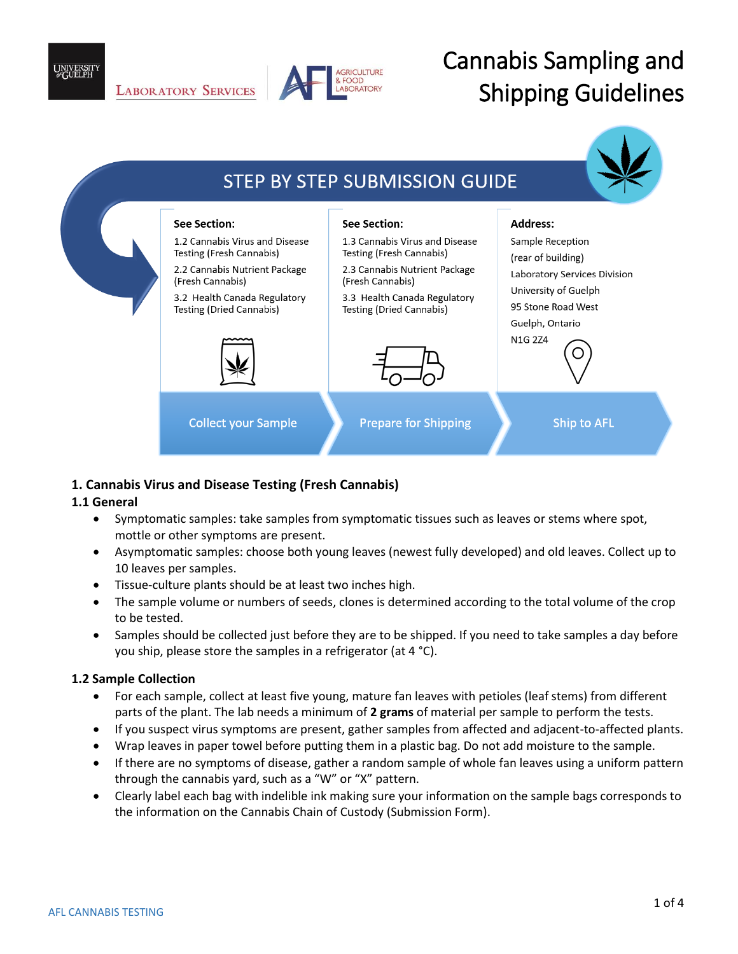

# Cannabis Sampling and Shipping Guidelines



### **1. Cannabis Virus and Disease Testing (Fresh Cannabis)**

#### **1.1 General**

- Symptomatic samples: take samples from symptomatic tissues such as leaves or stems where spot, mottle or other symptoms are present.
- Asymptomatic samples: choose both young leaves (newest fully developed) and old leaves. Collect up to 10 leaves per samples.
- Tissue-culture plants should be at least two inches high.
- The sample volume or numbers of seeds, clones is determined according to the total volume of the crop to be tested.
- Samples should be collected just before they are to be shipped. If you need to take samples a day before you ship, please store the samples in a refrigerator (at 4 °C).

#### **1.2 Sample Collection**

- For each sample, collect at least five young, mature fan leaves with petioles (leaf stems) from different parts of the plant. The lab needs a minimum of **2 grams** of material per sample to perform the tests.
- If you suspect virus symptoms are present, gather samples from affected and adjacent-to-affected plants.
- Wrap leaves in paper towel before putting them in a plastic bag. Do not add moisture to the sample.
- If there are no symptoms of disease, gather a random sample of whole fan leaves using a uniform pattern through the cannabis yard, such as a "W" or "X" pattern.
- Clearly label each bag with indelible ink making sure your information on the sample bags corresponds to the information on the Cannabis Chain of Custody (Submission Form).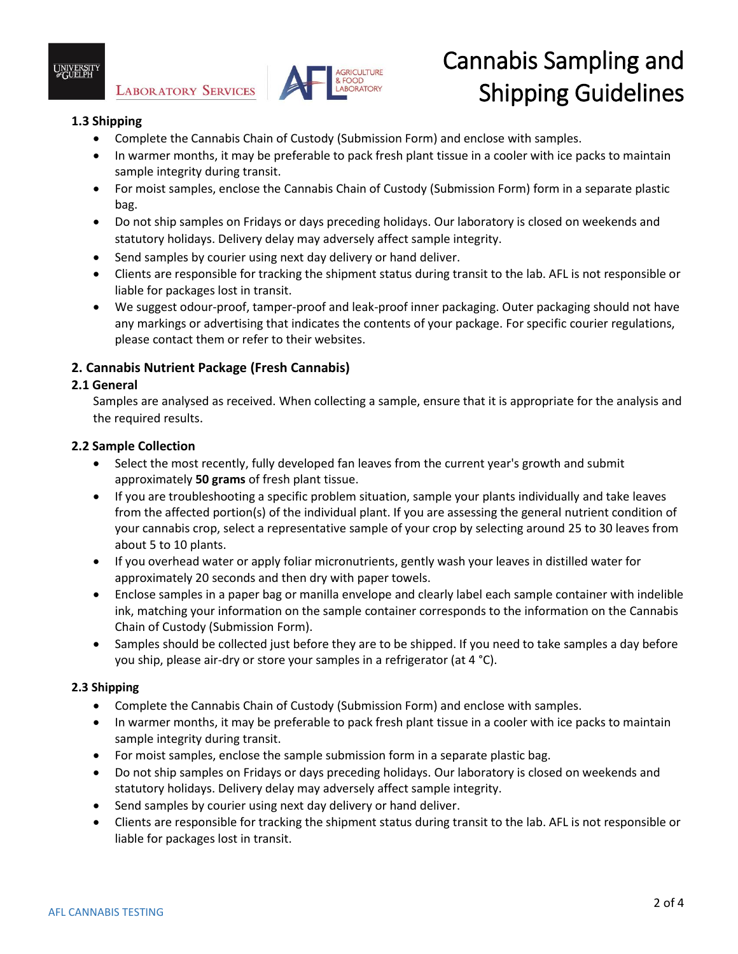



# Cannabis Sampling and Shipping Guidelines

## **1.3 Shipping**

- Complete the Cannabis Chain of Custody (Submission Form) and enclose with samples.
- In warmer months, it may be preferable to pack fresh plant tissue in a cooler with ice packs to maintain sample integrity during transit.
- For moist samples, enclose the Cannabis Chain of Custody (Submission Form) form in a separate plastic bag.
- Do not ship samples on Fridays or days preceding holidays. Our laboratory is closed on weekends and statutory holidays. Delivery delay may adversely affect sample integrity.
- Send samples by courier using next day delivery or hand deliver.
- Clients are responsible for tracking the shipment status during transit to the lab. AFL is not responsible or liable for packages lost in transit.
- We suggest odour-proof, tamper-proof and leak-proof inner packaging. Outer packaging should not have any markings or advertising that indicates the contents of your package. For specific courier regulations, please contact them or refer to their websites.

## **2. Cannabis Nutrient Package (Fresh Cannabis)**

#### **2.1 General**

Samples are analysed as received. When collecting a sample, ensure that it is appropriate for the analysis and the required results.

#### **2.2 Sample Collection**

- Select the most recently, fully developed fan leaves from the current year's growth and submit approximately **50 grams** of fresh plant tissue.
- If you are troubleshooting a specific problem situation, sample your plants individually and take leaves from the affected portion(s) of the individual plant. If you are assessing the general nutrient condition of your cannabis crop, select a representative sample of your crop by selecting around 25 to 30 leaves from about 5 to 10 plants.
- If you overhead water or apply foliar micronutrients, gently wash your leaves in distilled water for approximately 20 seconds and then dry with paper towels.
- Enclose samples in a paper bag or manilla envelope and clearly label each sample container with indelible ink, matching your information on the sample container corresponds to the information on the Cannabis Chain of Custody (Submission Form).
- Samples should be collected just before they are to be shipped. If you need to take samples a day before you ship, please air-dry or store your samples in a refrigerator (at 4 °C).

#### **2.3 Shipping**

- Complete the Cannabis Chain of Custody (Submission Form) and enclose with samples.
- In warmer months, it may be preferable to pack fresh plant tissue in a cooler with ice packs to maintain sample integrity during transit.
- For moist samples, enclose the sample submission form in a separate plastic bag.
- Do not ship samples on Fridays or days preceding holidays. Our laboratory is closed on weekends and statutory holidays. Delivery delay may adversely affect sample integrity.
- Send samples by courier using next day delivery or hand deliver.
- Clients are responsible for tracking the shipment status during transit to the lab. AFL is not responsible or liable for packages lost in transit.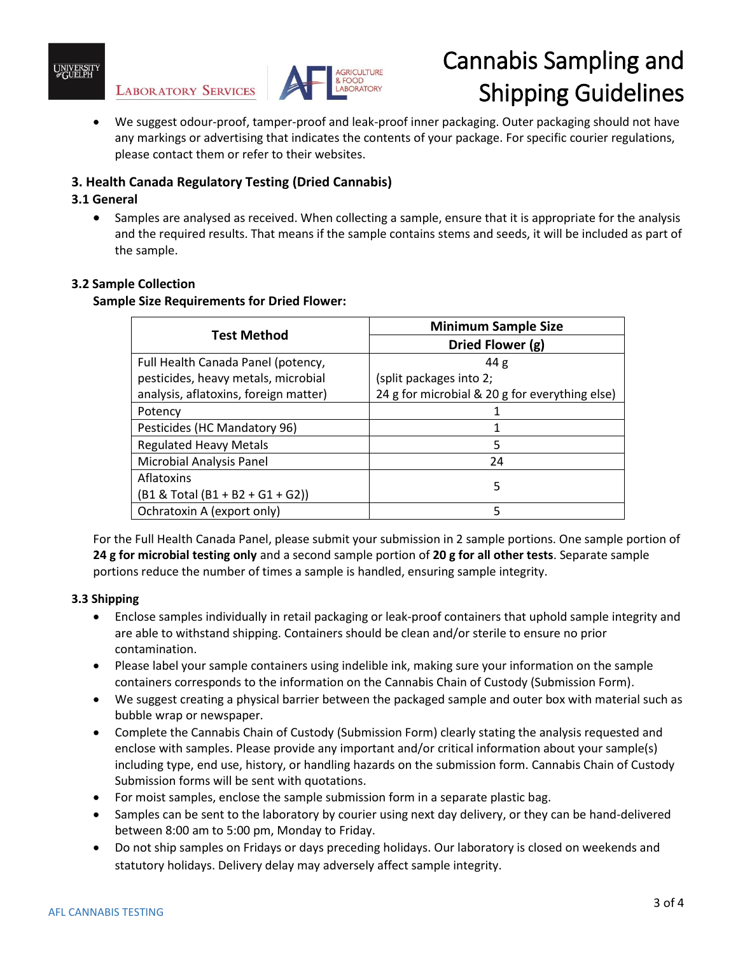

**LABORATORY SERVICES** 



## Cannabis Sampling and Shipping Guidelines

 We suggest odour-proof, tamper-proof and leak-proof inner packaging. Outer packaging should not have any markings or advertising that indicates the contents of your package. For specific courier regulations, please contact them or refer to their websites.

## **3. Health Canada Regulatory Testing (Dried Cannabis)**

#### **3.1 General**

 Samples are analysed as received. When collecting a sample, ensure that it is appropriate for the analysis and the required results. That means if the sample contains stems and seeds, it will be included as part of the sample.

#### **3.2 Sample Collection**

#### **Sample Size Requirements for Dried Flower:**

| <b>Test Method</b>                    | <b>Minimum Sample Size</b>                     |
|---------------------------------------|------------------------------------------------|
|                                       | Dried Flower (g)                               |
| Full Health Canada Panel (potency,    | 44 g                                           |
| pesticides, heavy metals, microbial   | (split packages into 2;                        |
| analysis, aflatoxins, foreign matter) | 24 g for microbial & 20 g for everything else) |
| Potency                               |                                                |
| Pesticides (HC Mandatory 96)          |                                                |
| <b>Regulated Heavy Metals</b>         | 5                                              |
| Microbial Analysis Panel              | 24                                             |
| Aflatoxins                            | 5                                              |
| $(B1 & Total (B1 + B2 + G1 + G2))$    |                                                |
| Ochratoxin A (export only)            | 5                                              |

For the Full Health Canada Panel, please submit your submission in 2 sample portions. One sample portion of **24 g for microbial testing only** and a second sample portion of **20 g for all other tests**. Separate sample portions reduce the number of times a sample is handled, ensuring sample integrity.

#### **3.3 Shipping**

- Enclose samples individually in retail packaging or leak-proof containers that uphold sample integrity and are able to withstand shipping. Containers should be clean and/or sterile to ensure no prior contamination.
- Please label your sample containers using indelible ink, making sure your information on the sample containers corresponds to the information on the Cannabis Chain of Custody (Submission Form).
- We suggest creating a physical barrier between the packaged sample and outer box with material such as bubble wrap or newspaper.
- Complete the Cannabis Chain of Custody (Submission Form) clearly stating the analysis requested and enclose with samples. Please provide any important and/or critical information about your sample(s) including type, end use, history, or handling hazards on the submission form. Cannabis Chain of Custody Submission forms will be sent with quotations.
- For moist samples, enclose the sample submission form in a separate plastic bag.
- Samples can be sent to the laboratory by courier using next day delivery, or they can be hand-delivered between 8:00 am to 5:00 pm, Monday to Friday.
- Do not ship samples on Fridays or days preceding holidays. Our laboratory is closed on weekends and statutory holidays. Delivery delay may adversely affect sample integrity.